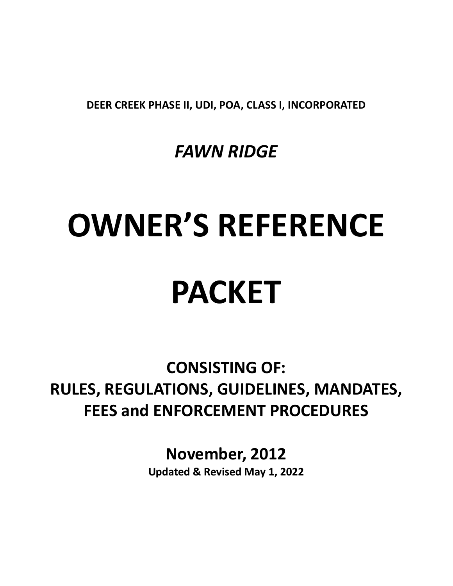DEER CREEK PHASE II, UDI, POA, CLASS I, INCORPORATED

FAWN RIDGE

# OWNER'S REFERENCE PACKET

CONSISTING OF: RULES, REGULATIONS, GUIDELINES, MANDATES, FEES and ENFORCEMENT PROCEDURES

November, 2012

Updated & Revised May 1, 2022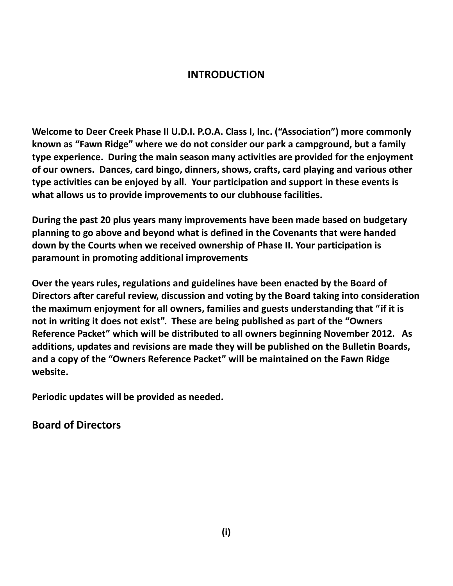#### INTRODUCTION

Welcome to Deer Creek Phase II U.D.I. P.O.A. Class I, Inc. ("Association") more commonly known as "Fawn Ridge" where we do not consider our park a campground, but a family type experience. During the main season many activities are provided for the enjoyment of our owners. Dances, card bingo, dinners, shows, crafts, card playing and various other type activities can be enjoyed by all. Your participation and support in these events is what allows us to provide improvements to our clubhouse facilities.

During the past 20 plus years many improvements have been made based on budgetary planning to go above and beyond what is defined in the Covenants that were handed down by the Courts when we received ownership of Phase II. Your participation is paramount in promoting additional improvements

Over the years rules, regulations and guidelines have been enacted by the Board of Directors after careful review, discussion and voting by the Board taking into consideration the maximum enjoyment for all owners, families and guests understanding that "if it is not in writing it does not exist". These are being published as part of the "Owners Reference Packet" which will be distributed to all owners beginning November 2012. As additions, updates and revisions are made they will be published on the Bulletin Boards, and a copy of the "Owners Reference Packet" will be maintained on the Fawn Ridge website.

Periodic updates will be provided as needed.

Board of Directors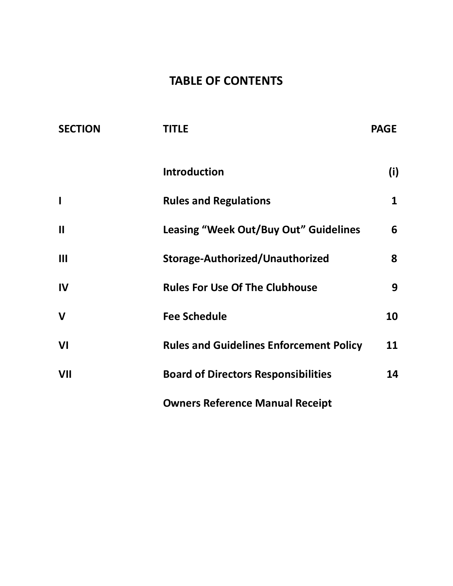# TABLE OF CONTENTS

| <b>SECTION</b> | <b>TITLE</b>                                   | <b>PAGE</b> |
|----------------|------------------------------------------------|-------------|
|                | <b>Introduction</b>                            | (i)         |
| I              | <b>Rules and Regulations</b>                   | 1           |
| $\mathbf{I}$   | <b>Leasing "Week Out/Buy Out" Guidelines</b>   | 6           |
| III            | Storage-Authorized/Unauthorized                | 8           |
| IV             | <b>Rules For Use Of The Clubhouse</b>          | 9           |
| $\mathbf v$    | <b>Fee Schedule</b>                            | 10          |
| VI             | <b>Rules and Guidelines Enforcement Policy</b> | 11          |
| VII            | <b>Board of Directors Responsibilities</b>     | 14          |
|                | <b>Owners Reference Manual Receipt</b>         |             |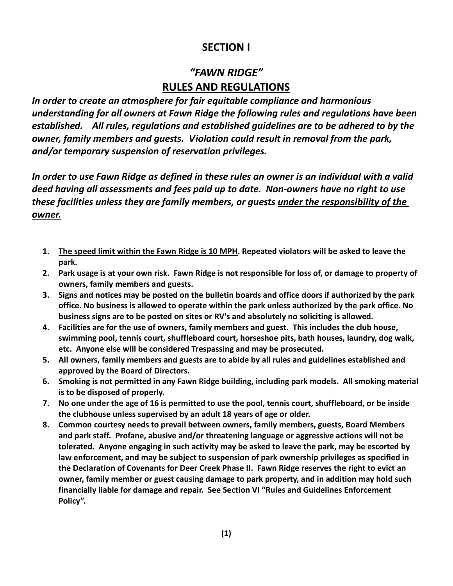### SECTION I

## "FAWN RIDGE" RULES AND REGULATIONS

In order to create an atmosphere for fair equitable compliance and harmonious understanding for all owners at Fawn Ridge the following rules and regulations have been established. All rules, regulations and established guidelines are to be adhered to by the owner, family members and guests. Violation could result in removal from the park, and/or temporary suspension of reservation privileges.

In order to use Fawn Ridge as defined in these rules an owner is an individual with a valid deed having all assessments and fees paid up to date. Non-owners have no right to use these facilities unless they are family members, or guests under the responsibility of the owner.

- 1. The speed limit within the Fawn Ridge is 10 MPH. Repeated violators will be asked to leave the park.
- 2. Park usage is at your own risk. Fawn Ridge is not responsible for loss of, or damage to property of owners, family members and guests.
- 3. Signs and notices may be posted on the bulletin boards and office doors if authorized by the park office. No business is allowed to operate within the park unless authorized by the park office. No business signs are to be posted on sites or RV's and absolutely no soliciting is allowed.
- 4. Facilities are for the use of owners, family members and guest. This includes the club house, swimming pool, tennis court, shuffleboard court, horseshoe pits, bath houses, laundry, dog walk, etc. Anyone else will be considered Trespassing and may be prosecuted.
- 5. All owners, family members and guests are to abide by all rules and guidelines established and approved by the Board of Directors.
- 6. Smoking is not permitted in any Fawn Ridge building, including park models. All smoking material is to be disposed of properly.
- 7. No one under the age of 16 is permitted to use the pool, tennis court, shuffleboard, or be inside the clubhouse unless supervised by an adult 18 years of age or older.
- 8. Common courtesy needs to prevail between owners, family members, guests, Board Members and park staff. Profane, abusive and/or threatening language or aggressive actions will not be tolerated. Anyone engaging in such activity may be asked to leave the park, may be escorted by law enforcement, and may be subject to suspension of park ownership privileges as specified in the Declaration of Covenants for Deer Creek Phase II. Fawn Ridge reserves the right to evict an owner, family member or guest causing damage to park property, and in addition may hold such financially liable for damage and repair. See Section VI "Rules and Guidelines Enforcement Policy".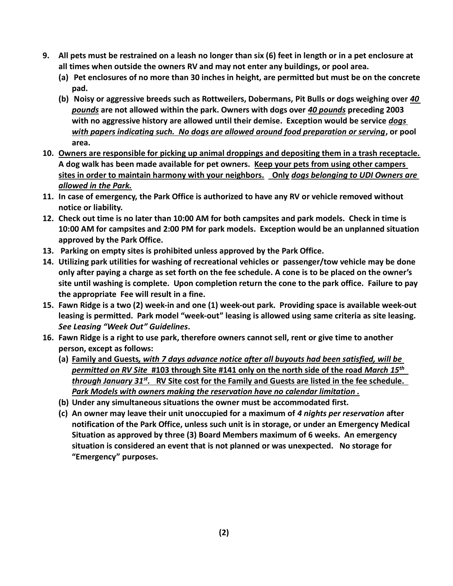- 9. All pets must be restrained on a leash no longer than six (6) feet in length or in a pet enclosure at all times when outside the owners RV and may not enter any buildings, or pool area.
	- (a) Pet enclosures of no more than 30 inches in height, are permitted but must be on the concrete pad.
	- (b) Noisy or aggressive breeds such as Rottweilers, Dobermans, Pit Bulls or dogs weighing over 40 pounds are not allowed within the park. Owners with dogs over 40 pounds preceding 2003 with no aggressive history are allowed until their demise. Exception would be service *dogs* with papers indicating such. No dogs are allowed around food preparation or serving, or pool area.
- 10. Owners are responsible for picking up animal droppings and depositing them in a trash receptacle. A dog walk has been made available for pet owners. Keep your pets from using other campers sites in order to maintain harmony with your neighbors. Only *dogs belonging to UDI Owners are* allowed in the Park.
- 11. In case of emergency, the Park Office is authorized to have any RV or vehicle removed without notice or liability.
- 12. Check out time is no later than 10:00 AM for both campsites and park models. Check in time is 10:00 AM for campsites and 2:00 PM for park models. Exception would be an unplanned situation approved by the Park Office.
- 13. Parking on empty sites is prohibited unless approved by the Park Office.
- 14. Utilizing park utilities for washing of recreational vehicles or passenger/tow vehicle may be done only after paying a charge as set forth on the fee schedule. A cone is to be placed on the owner's site until washing is complete. Upon completion return the cone to the park office. Failure to pay the appropriate Fee will result in a fine.
- 15. Fawn Ridge is a two (2) week-in and one (1) week-out park. Providing space is available week-out leasing is permitted. Park model "week-out" leasing is allowed using same criteria as site leasing. See Leasing "Week Out" Guidelines.
- 16. Fawn Ridge is a right to use park, therefore owners cannot sell, rent or give time to another person, except as follows:
	- (a) Family and Guests, with 7 days advance notice after all buyouts had been satisfied, will be permitted on RV Site #103 through Site #141 only on the north side of the road March 15<sup>th</sup> through January 31<sup>st</sup>. NV Site cost for the Family and Guests are listed in the fee schedule. Park Models with owners making the reservation have no calendar limitation .
	- (b) Under any simultaneous situations the owner must be accommodated first.
	- (c) An owner may leave their unit unoccupied for a maximum of 4 nights per reservation after notification of the Park Office, unless such unit is in storage, or under an Emergency Medical Situation as approved by three (3) Board Members maximum of 6 weeks. An emergency situation is considered an event that is not planned or was unexpected. No storage for "Emergency" purposes.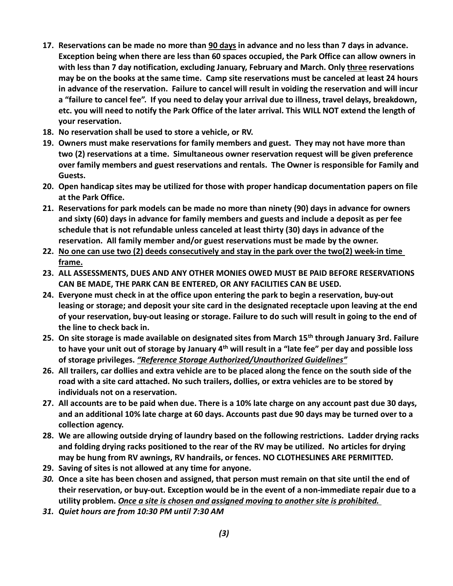- 17. Reservations can be made no more than 90 days in advance and no less than 7 days in advance. Exception being when there are less than 60 spaces occupied, the Park Office can allow owners in with less than 7 day notification, excluding January, February and March. Only three reservations may be on the books at the same time. Camp site reservations must be canceled at least 24 hours in advance of the reservation. Failure to cancel will result in voiding the reservation and will incur a "failure to cancel fee". If you need to delay your arrival due to illness, travel delays, breakdown, etc. you will need to notify the Park Office of the later arrival. This WILL NOT extend the length of your reservation.
- 18. No reservation shall be used to store a vehicle, or RV.
- 19. Owners must make reservations for family members and guest. They may not have more than two (2) reservations at a time. Simultaneous owner reservation request will be given preference over family members and guest reservations and rentals. The Owner is responsible for Family and Guests.
- 20. Open handicap sites may be utilized for those with proper handicap documentation papers on file at the Park Office.
- 21. Reservations for park models can be made no more than ninety (90) days in advance for owners and sixty (60) days in advance for family members and guests and include a deposit as per fee schedule that is not refundable unless canceled at least thirty (30) days in advance of the reservation. All family member and/or guest reservations must be made by the owner.
- 22. No one can use two (2) deeds consecutively and stay in the park over the two(2) week-in time frame.
- 23. ALL ASSESSMENTS, DUES AND ANY OTHER MONIES OWED MUST BE PAID BEFORE RESERVATIONS CAN BE MADE, THE PARK CAN BE ENTERED, OR ANY FACILITIES CAN BE USED.
- 24. Everyone must check in at the office upon entering the park to begin a reservation, buy-out leasing or storage; and deposit your site card in the designated receptacle upon leaving at the end of your reservation, buy-out leasing or storage. Failure to do such will result in going to the end of the line to check back in.
- 25. On site storage is made available on designated sites from March 15<sup>th</sup> through January 3rd. Failure to have your unit out of storage by January 4<sup>th</sup> will result in a "late fee" per day and possible loss of storage privileges. "Reference Storage Authorized/Unauthorized Guidelines"
- 26. All trailers, car dollies and extra vehicle are to be placed along the fence on the south side of the road with a site card attached. No such trailers, dollies, or extra vehicles are to be stored by individuals not on a reservation.
- 27. All accounts are to be paid when due. There is a 10% late charge on any account past due 30 days, and an additional 10% late charge at 60 days. Accounts past due 90 days may be turned over to a collection agency.
- 28. We are allowing outside drying of laundry based on the following restrictions. Ladder drying racks and folding drying racks positioned to the rear of the RV may be utilized. No articles for drying may be hung from RV awnings, RV handrails, or fences. NO CLOTHESLINES ARE PERMITTED.
- 29. Saving of sites is not allowed at any time for anyone.
- 30. Once a site has been chosen and assigned, that person must remain on that site until the end of their reservation, or buy-out. Exception would be in the event of a non-immediate repair due to a utility problem. Once a site is chosen and assigned moving to another site is prohibited.
- 31. Quiet hours are from 10:30 PM until 7:30 AM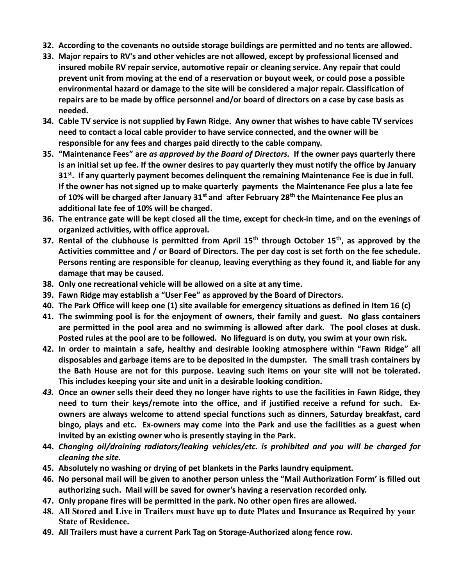- 32. According to the covenants no outside storage buildings are permitted and no tents are allowed.
- 33. Major repairs to RV's and other vehicles are not allowed, except by professional licensed and insured mobile RV repair service, automotive repair or cleaning service. Any repair that could prevent unit from moving at the end of a reservation or buyout week, or could pose a possible environmental hazard or damage to the site will be considered a major repair. Classification of repairs are to be made by office personnel and/or board of directors on a case by case basis as needed.
- 34. Cable TV service is not supplied by Fawn Ridge. Any owner that wishes to have cable TV services need to contact a local cable provider to have service connected, and the owner will be responsible for any fees and charges paid directly to the cable company.
- 35. "Maintenance Fees" are as approved by the Board of Directors. If the owner pays quarterly there is an initial set up fee. If the owner desires to pay quarterly they must notify the office by January  $31<sup>st</sup>$ . If any quarterly payment becomes delinquent the remaining Maintenance Fee is due in full. If the owner has not signed up to make quarterly payments the Maintenance Fee plus a late fee of 10% will be charged after January  $31<sup>st</sup>$  and after February 28<sup>th</sup> the Maintenance Fee plus an additional late fee of 10% will be charged.
- 36. The entrance gate will be kept closed all the time, except for check-in time, and on the evenings of organized activities, with office approval.
- 37. Rental of the clubhouse is permitted from April  $15<sup>th</sup>$  through October  $15<sup>th</sup>$ , as approved by the Activities committee and / or Board of Directors. The per day cost is set forth on the fee schedule. Persons renting are responsible for cleanup, leaving everything as they found it, and liable for any damage that may be caused.
- 38. Only one recreational vehicle will be allowed on a site at any time.
- 39. Fawn Ridge may establish a "User Fee" as approved by the Board of Directors.
- 40. The Park Office will keep one (1) site available for emergency situations as defined in Item 16 (c)
- 41. The swimming pool is for the enjoyment of owners, their family and guest. No glass containers are permitted in the pool area and no swimming is allowed after dark. The pool closes at dusk. Posted rules at the pool are to be followed. No lifeguard is on duty, you swim at your own risk.
- 42. In order to maintain a safe, healthy and desirable looking atmosphere within "Fawn Ridge" all disposables and garbage items are to be deposited in the dumpster. The small trash containers by the Bath House are not for this purpose. Leaving such items on your site will not be tolerated. This includes keeping your site and unit in a desirable looking condition.
- 43. Once an owner sells their deed they no longer have rights to use the facilities in Fawn Ridge, they need to turn their keys/remote into the office, and if justified receive a refund for such. Exowners are always welcome to attend special functions such as dinners, Saturday breakfast, card bingo, plays and etc. Ex-owners may come into the Park and use the facilities as a guest when invited by an existing owner who is presently staying in the Park.
- 44. Changing oil/draining radiators/leaking vehicles/etc. is prohibited and you will be charged for cleaning the site.
- 45. Absolutely no washing or drying of pet blankets in the Parks laundry equipment.
- 46. No personal mail will be given to another person unless the "Mail Authorization Form' is filled out authorizing such. Mail will be saved for owner's having a reservation recorded only.
- 47. Only propane fires will be permitted in the park. No other open fires are allowed.
- 48. All Stored and Live in Trailers must have up to date Plates and Insurance as Required by your State of Residence.
- 49. All Trailers must have a current Park Tag on Storage-Authorized along fence row.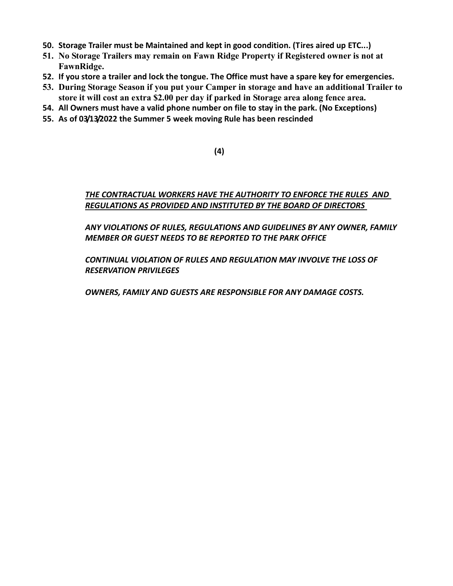- 50. Storage Trailer must be Maintained and kept in good condition. (Tires aired up ETC...)
- 51. No Storage Trailers may remain on Fawn Ridge Property if Registered owner is not at FawnRidge.
- 52. If you store a trailer and lock the tongue. The Office must have a spare key for emergencies.
- 53. During Storage Season if you put your Camper in storage and have an additional Trailer to store it will cost an extra \$2.00 per day if parked in Storage area along fence area.
- 54. All Owners must have a valid phone number on file to stay in the park. (No Exceptions)
- 55. As of 03/13/2022 the Summer 5 week moving Rule has been rescinded

(4)

#### THE CONTRACTUAL WORKERS HAVE THE AUTHORITY TO ENFORCE THE RULES AND REGULATIONS AS PROVIDED AND INSTITUTED BY THE BOARD OF DIRECTORS

ANY VIOLATIONS OF RULES, REGULATIONS AND GUIDELINES BY ANY OWNER, FAMILY MEMBER OR GUEST NEEDS TO BE REPORTED TO THE PARK OFFICE

CONTINUAL VIOLATION OF RULES AND REGULATION MAY INVOLVE THE LOSS OF RESERVATION PRIVILEGES

OWNERS, FAMILY AND GUESTS ARE RESPONSIBLE FOR ANY DAMAGE COSTS.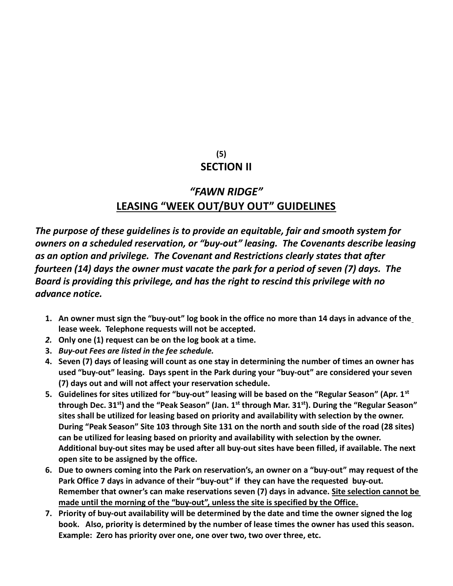#### $(5)$ **SECTION II**

## "FAWN RIDGE" LEASING "WEEK OUT/BUY OUT" GUIDELINES

The purpose of these guidelines is to provide an equitable, fair and smooth system for owners on a scheduled reservation, or "buy-out" leasing. The Covenants describe leasing as an option and privilege. The Covenant and Restrictions clearly states that after fourteen (14) days the owner must vacate the park for a period of seven (7) days. The Board is providing this privilege, and has the right to rescind this privilege with no advance notice.

- 1. An owner must sign the "buy-out" log book in the office no more than 14 days in advance of the lease week. Telephone requests will not be accepted.
- 2. Only one (1) request can be on the log book at a time.
- 3. Buy-out Fees are listed in the fee schedule.
- 4. Seven (7) days of leasing will count as one stay in determining the number of times an owner has used "buy-out" leasing. Days spent in the Park during your "buy-out" are considered your seven (7) days out and will not affect your reservation schedule.
- 5. Guidelines for sites utilized for "buy-out" leasing will be based on the "Regular Season" (Apr.  $1<sup>st</sup>$ through Dec. 31<sup>st</sup>) and the "Peak Season" (Jan. 1<sup>st</sup> through Mar. 31<sup>st</sup>). During the "Regular Season" sites shall be utilized for leasing based on priority and availability with selection by the owner. During "Peak Season" Site 103 through Site 131 on the north and south side of the road (28 sites) can be utilized for leasing based on priority and availability with selection by the owner. Additional buy-out sites may be used after all buy-out sites have been filled, if available. The next open site to be assigned by the office.
- 6. Due to owners coming into the Park on reservation's, an owner on a "buy-out" may request of the Park Office 7 days in advance of their "buy-out" if they can have the requested buy-out. Remember that owner's can make reservations seven (7) days in advance. Site selection cannot be made until the morning of the "buy-out", unless the site is specified by the Office.
- 7. Priority of buy-out availability will be determined by the date and time the owner signed the log book. Also, priority is determined by the number of lease times the owner has used this season. Example: Zero has priority over one, one over two, two over three, etc.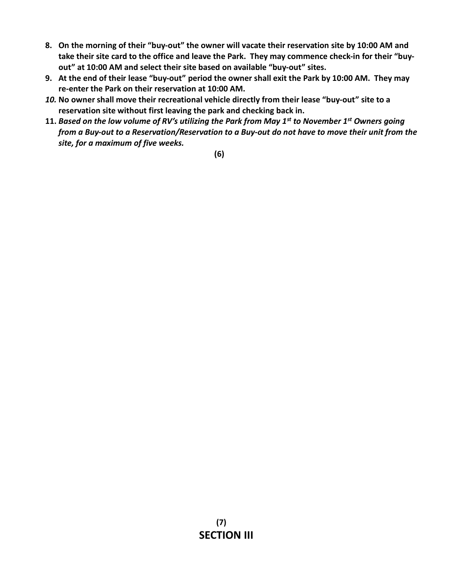- 8. On the morning of their "buy-out" the owner will vacate their reservation site by 10:00 AM and take their site card to the office and leave the Park. They may commence check-in for their "buyout" at 10:00 AM and select their site based on available "buy-out" sites.
- 9. At the end of their lease "buy-out" period the owner shall exit the Park by 10:00 AM. They may re-enter the Park on their reservation at 10:00 AM.
- 10. No owner shall move their recreational vehicle directly from their lease "buy-out" site to a reservation site without first leaving the park and checking back in.
- 11. Based on the low volume of RV's utilizing the Park from May  $1<sup>st</sup>$  to November  $1<sup>st</sup>$  Owners going from a Buy-out to a Reservation/Reservation to a Buy-out do not have to move their unit from the site, for a maximum of five weeks.

(6)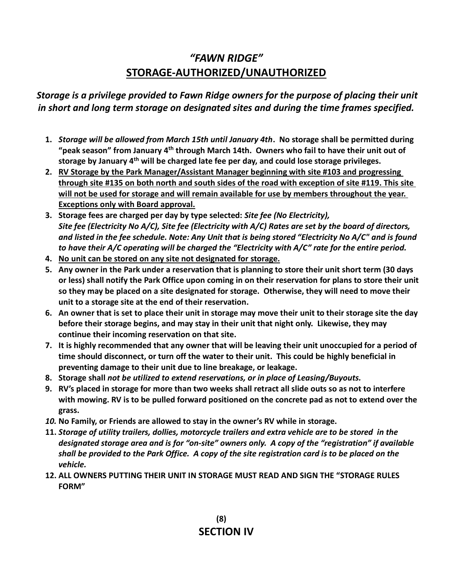# "FAWN RIDGE" STORAGE-AUTHORIZED/UNAUTHORIZED

#### Storage is a privilege provided to Fawn Ridge owners for the purpose of placing their unit in short and long term storage on designated sites and during the time frames specified.

- 1. Storage will be allowed from March 15th until January 4th. No storage shall be permitted during "peak season" from January  $4<sup>th</sup>$  through March 14th. Owners who fail to have their unit out of storage by January 4<sup>th</sup> will be charged late fee per day, and could lose storage privileges.
- 2. RV Storage by the Park Manager/Assistant Manager beginning with site #103 and progressing through site #135 on both north and south sides of the road with exception of site #119. This site will not be used for storage and will remain available for use by members throughout the year. Exceptions only with Board approval.
- 3. Storage fees are charged per day by type selected: Site fee (No Electricity), Site fee (Electricity No A/C), Site fee (Electricity with A/C) Rates are set by the board of directors, and listed in the fee schedule. Note: Any Unit that is being stored "Electricity No A/C" and is found to have their A/C operating will be charged the "Electricity with A/C" rate for the entire period.
- 4. No unit can be stored on any site not designated for storage.
- 5. Any owner in the Park under a reservation that is planning to store their unit short term (30 days or less) shall notify the Park Office upon coming in on their reservation for plans to store their unit so they may be placed on a site designated for storage. Otherwise, they will need to move their unit to a storage site at the end of their reservation.
- 6. An owner that is set to place their unit in storage may move their unit to their storage site the day before their storage begins, and may stay in their unit that night only. Likewise, they may continue their incoming reservation on that site.
- 7. It is highly recommended that any owner that will be leaving their unit unoccupied for a period of time should disconnect, or turn off the water to their unit. This could be highly beneficial in preventing damage to their unit due to line breakage, or leakage.
- 8. Storage shall not be utilized to extend reservations, or in place of Leasing/Buyouts.
- 9. RV's placed in storage for more than two weeks shall retract all slide outs so as not to interfere with mowing. RV is to be pulled forward positioned on the concrete pad as not to extend over the grass.
- 10. No Family, or Friends are allowed to stay in the owner's RV while in storage.
- 11. Storage of utility trailers, dollies, motorcycle trailers and extra vehicle are to be stored in the designated storage area and is for "on-site" owners only. A copy of the "registration" if available shall be provided to the Park Office. A copy of the site registration card is to be placed on the vehicle.
- 12. ALL OWNERS PUTTING THEIR UNIT IN STORAGE MUST READ AND SIGN THE "STORAGE RULES FORM"

 (8) SECTION IV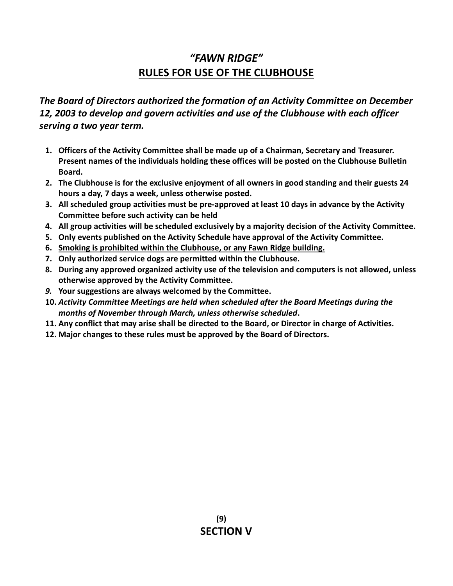# "FAWN RIDGE" RULES FOR USE OF THE CLUBHOUSE

The Board of Directors authorized the formation of an Activity Committee on December 12, 2003 to develop and govern activities and use of the Clubhouse with each officer serving a two year term.

- 1. Officers of the Activity Committee shall be made up of a Chairman, Secretary and Treasurer. Present names of the individuals holding these offices will be posted on the Clubhouse Bulletin Board.
- 2. The Clubhouse is for the exclusive enjoyment of all owners in good standing and their guests 24 hours a day, 7 days a week, unless otherwise posted.
- 3. All scheduled group activities must be pre-approved at least 10 days in advance by the Activity Committee before such activity can be held
- 4. All group activities will be scheduled exclusively by a majority decision of the Activity Committee.
- 5. Only events published on the Activity Schedule have approval of the Activity Committee.
- 6. Smoking is prohibited within the Clubhouse, or any Fawn Ridge building.
- 7. Only authorized service dogs are permitted within the Clubhouse.
- 8. During any approved organized activity use of the television and computers is not allowed, unless otherwise approved by the Activity Committee.
- 9. Your suggestions are always welcomed by the Committee.
- 10. Activity Committee Meetings are held when scheduled after the Board Meetings during the months of November through March, unless otherwise scheduled.
- 11. Any conflict that may arise shall be directed to the Board, or Director in charge of Activities.
- 12. Major changes to these rules must be approved by the Board of Directors.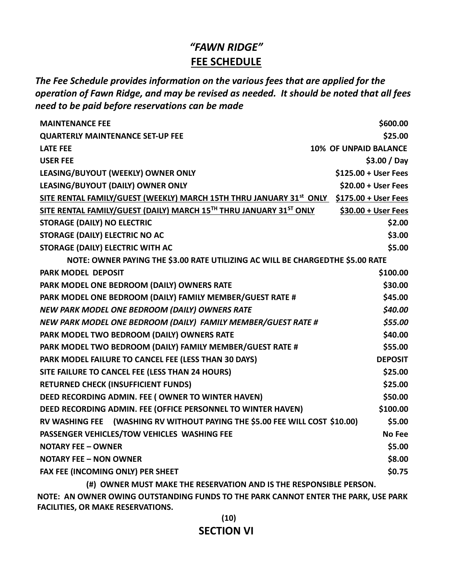# "FAWN RIDGE" FEE SCHEDULE

The Fee Schedule provides information on the various fees that are applied for the operation of Fawn Ridge, and may be revised as needed. It should be noted that all fees need to be paid before reservations can be made

| <b>MAINTENANCE FEE</b>                                                             | \$600.00             |  |  |
|------------------------------------------------------------------------------------|----------------------|--|--|
| <b>QUARTERLY MAINTENANCE SET-UP FEE</b>                                            | \$25.00              |  |  |
| <b>LATE FEE</b><br><b>10% OF UNPAID BALANCE</b>                                    |                      |  |  |
| <b>USER FEE</b>                                                                    | \$3.00 / Day         |  |  |
| LEASING/BUYOUT (WEEKLY) OWNER ONLY                                                 | \$125.00 + User Fees |  |  |
| LEASING/BUYOUT (DAILY) OWNER ONLY                                                  | $$20.00 + User Fees$ |  |  |
| SITE RENTAL FAMILY/GUEST (WEEKLY) MARCH 15TH THRU JANUARY 31st ONLY                | \$175.00 + User Fees |  |  |
| SITE RENTAL FAMILY/GUEST (DAILY) MARCH 15TH THRU JANUARY 31ST ONLY                 | \$30.00 + User Fees  |  |  |
| \$2.00<br><b>STORAGE (DAILY) NO ELECTRIC</b>                                       |                      |  |  |
| <b>STORAGE (DAILY) ELECTRIC NO AC</b>                                              | \$3.00               |  |  |
| STORAGE (DAILY) ELECTRIC WITH AC                                                   | \$5.00               |  |  |
| NOTE: OWNER PAYING THE \$3.00 RATE UTILIZING AC WILL BE CHARGEDTHE \$5.00 RATE     |                      |  |  |
| <b>PARK MODEL DEPOSIT</b>                                                          | \$100.00             |  |  |
| PARK MODEL ONE BEDROOM (DAILY) OWNERS RATE                                         | \$30.00              |  |  |
| PARK MODEL ONE BEDROOM (DAILY) FAMILY MEMBER/GUEST RATE #                          | \$45.00              |  |  |
| NEW PARK MODEL ONE BEDROOM (DAILY) OWNERS RATE                                     | \$40.00              |  |  |
| NEW PARK MODEL ONE BEDROOM (DAILY) FAMILY MEMBER/GUEST RATE #                      | \$55.00              |  |  |
| PARK MODEL TWO BEDROOM (DAILY) OWNERS RATE                                         |                      |  |  |
| PARK MODEL TWO BEDROOM (DAILY) FAMILY MEMBER/GUEST RATE #                          |                      |  |  |
| PARK MODEL FAILURE TO CANCEL FEE (LESS THAN 30 DAYS)                               |                      |  |  |
| SITE FAILURE TO CANCEL FEE (LESS THAN 24 HOURS)                                    |                      |  |  |
| <b>RETURNED CHECK (INSUFFICIENT FUNDS)</b>                                         | \$25.00              |  |  |
| DEED RECORDING ADMIN. FEE ( OWNER TO WINTER HAVEN)                                 | \$50.00              |  |  |
| DEED RECORDING ADMIN. FEE (OFFICE PERSONNEL TO WINTER HAVEN)                       | \$100.00             |  |  |
| RV WASHING FEE (WASHING RV WITHOUT PAYING THE \$5.00 FEE WILL COST \$10.00)        | \$5.00               |  |  |
| PASSENGER VEHICLES/TOW VEHICLES WASHING FEE                                        | <b>No Fee</b>        |  |  |
| <b>NOTARY FEE - OWNER</b>                                                          |                      |  |  |
| <b>NOTARY FEE - NON OWNER</b>                                                      |                      |  |  |
| FAX FEE (INCOMING ONLY) PER SHEET                                                  |                      |  |  |
| (#) OWNER MUST MAKE THE RESERVATION AND IS THE RESPONSIBLE PERSON.                 |                      |  |  |
| NOTE: AN OWNER OWING OUTSTANDING FUNDS TO THE PARK CANNOT ENTER THE PARK, USE PARK |                      |  |  |

FACILITIES, OR MAKE RESERVATIONS.

 $(10)$ SECTION VI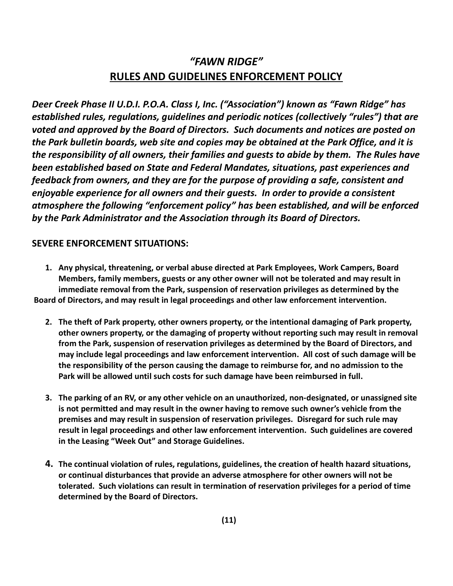# "FAWN RIDGE" RULES AND GUIDELINES ENFORCEMENT POLICY

Deer Creek Phase II U.D.I. P.O.A. Class I, Inc. ("Association") known as "Fawn Ridge" has established rules, regulations, guidelines and periodic notices (collectively "rules") that are voted and approved by the Board of Directors. Such documents and notices are posted on the Park bulletin boards, web site and copies may be obtained at the Park Office, and it is the responsibility of all owners, their families and guests to abide by them. The Rules have been established based on State and Federal Mandates, situations, past experiences and feedback from owners, and they are for the purpose of providing a safe, consistent and enjoyable experience for all owners and their guests. In order to provide a consistent atmosphere the following "enforcement policy" has been established, and will be enforced by the Park Administrator and the Association through its Board of Directors.

#### SEVERE ENFORCEMENT SITUATIONS:

1. Any physical, threatening, or verbal abuse directed at Park Employees, Work Campers, Board Members, family members, guests or any other owner will not be tolerated and may result in immediate removal from the Park, suspension of reservation privileges as determined by the Board of Directors, and may result in legal proceedings and other law enforcement intervention.

- 2. The theft of Park property, other owners property, or the intentional damaging of Park property, other owners property, or the damaging of property without reporting such may result in removal from the Park, suspension of reservation privileges as determined by the Board of Directors, and may include legal proceedings and law enforcement intervention. All cost of such damage will be the responsibility of the person causing the damage to reimburse for, and no admission to the Park will be allowed until such costs for such damage have been reimbursed in full.
- 3. The parking of an RV, or any other vehicle on an unauthorized, non-designated, or unassigned site is not permitted and may result in the owner having to remove such owner's vehicle from the premises and may result in suspension of reservation privileges. Disregard for such rule may result in legal proceedings and other law enforcement intervention. Such guidelines are covered in the Leasing "Week Out" and Storage Guidelines.
- 4. The continual violation of rules, regulations, guidelines, the creation of health hazard situations, or continual disturbances that provide an adverse atmosphere for other owners will not be tolerated. Such violations can result in termination of reservation privileges for a period of time determined by the Board of Directors.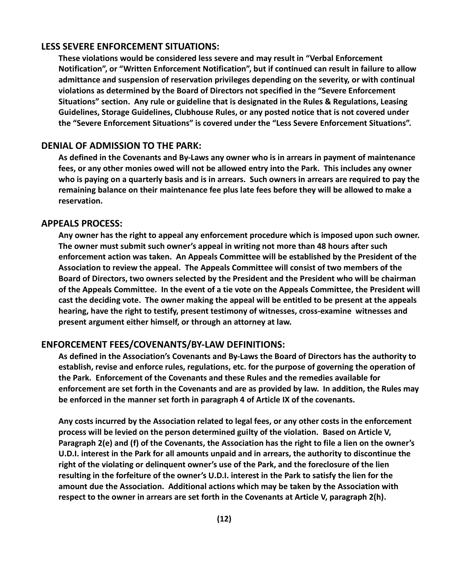#### LESS SEVERE ENFORCEMENT SITUATIONS:

These violations would be considered less severe and may result in "Verbal Enforcement Notification", or "Written Enforcement Notification", but if continued can result in failure to allow admittance and suspension of reservation privileges depending on the severity, or with continual violations as determined by the Board of Directors not specified in the "Severe Enforcement Situations" section. Any rule or guideline that is designated in the Rules & Regulations, Leasing Guidelines, Storage Guidelines, Clubhouse Rules, or any posted notice that is not covered under the "Severe Enforcement Situations" is covered under the "Less Severe Enforcement Situations".

#### DENIAL OF ADMISSION TO THE PARK:

As defined in the Covenants and By-Laws any owner who is in arrears in payment of maintenance fees, or any other monies owed will not be allowed entry into the Park. This includes any owner who is paying on a quarterly basis and is in arrears. Such owners in arrears are required to pay the remaining balance on their maintenance fee plus late fees before they will be allowed to make a reservation.

#### APPEALS PROCESS:

Any owner has the right to appeal any enforcement procedure which is imposed upon such owner. The owner must submit such owner's appeal in writing not more than 48 hours after such enforcement action was taken. An Appeals Committee will be established by the President of the Association to review the appeal. The Appeals Committee will consist of two members of the Board of Directors, two owners selected by the President and the President who will be chairman of the Appeals Committee. In the event of a tie vote on the Appeals Committee, the President will cast the deciding vote. The owner making the appeal will be entitled to be present at the appeals hearing, have the right to testify, present testimony of witnesses, cross-examine witnesses and present argument either himself, or through an attorney at law.

#### ENFORCEMENT FEES/COVENANTS/BY-LAW DEFINITIONS:

As defined in the Association's Covenants and By-Laws the Board of Directors has the authority to establish, revise and enforce rules, regulations, etc. for the purpose of governing the operation of the Park. Enforcement of the Covenants and these Rules and the remedies available for enforcement are set forth in the Covenants and are as provided by law. In addition, the Rules may be enforced in the manner set forth in paragraph 4 of Article IX of the covenants.

Any costs incurred by the Association related to legal fees, or any other costs in the enforcement process will be levied on the person determined guilty of the violation. Based on Article V, Paragraph 2(e) and (f) of the Covenants, the Association has the right to file a lien on the owner's U.D.I. interest in the Park for all amounts unpaid and in arrears, the authority to discontinue the right of the violating or delinquent owner's use of the Park, and the foreclosure of the lien resulting in the forfeiture of the owner's U.D.I. interest in the Park to satisfy the lien for the amount due the Association. Additional actions which may be taken by the Association with respect to the owner in arrears are set forth in the Covenants at Article V, paragraph 2(h).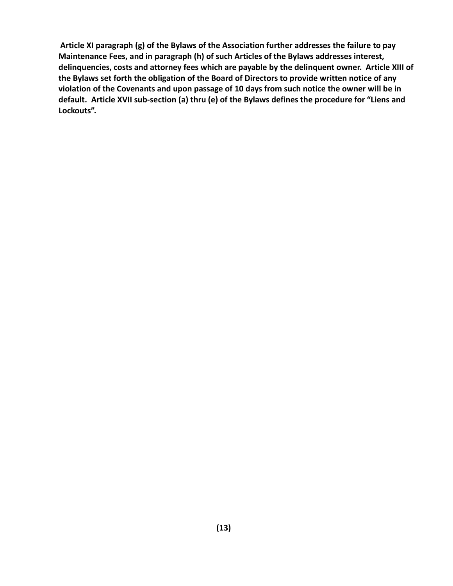Article XI paragraph (g) of the Bylaws of the Association further addresses the failure to pay Maintenance Fees, and in paragraph (h) of such Articles of the Bylaws addresses interest, delinquencies, costs and attorney fees which are payable by the delinquent owner. Article XIII of the Bylaws set forth the obligation of the Board of Directors to provide written notice of any violation of the Covenants and upon passage of 10 days from such notice the owner will be in default. Article XVII sub-section (a) thru (e) of the Bylaws defines the procedure for "Liens and Lockouts".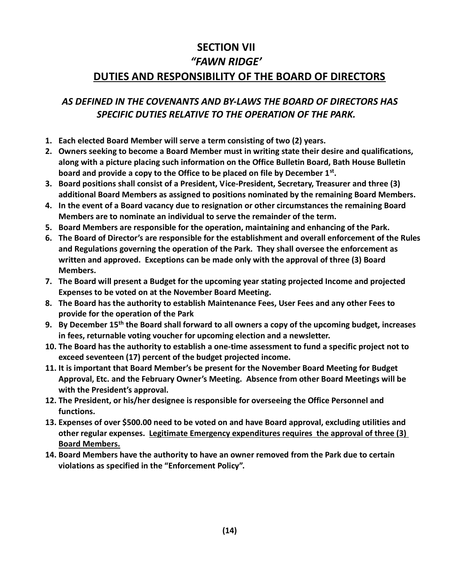# SECTION VII "FAWN RIDGE' DUTIES AND RESPONSIBILITY OF THE BOARD OF DIRECTORS

#### AS DEFINED IN THE COVENANTS AND BY-LAWS THE BOARD OF DIRECTORS HAS SPECIFIC DUTIES RELATIVE TO THE OPERATION OF THE PARK.

- 1. Each elected Board Member will serve a term consisting of two (2) years.
- 2. Owners seeking to become a Board Member must in writing state their desire and qualifications, along with a picture placing such information on the Office Bulletin Board, Bath House Bulletin board and provide a copy to the Office to be placed on file by December  $1<sup>st</sup>$ .
- 3. Board positions shall consist of a President, Vice-President, Secretary, Treasurer and three (3) additional Board Members as assigned to positions nominated by the remaining Board Members.
- 4. In the event of a Board vacancy due to resignation or other circumstances the remaining Board Members are to nominate an individual to serve the remainder of the term.
- 5. Board Members are responsible for the operation, maintaining and enhancing of the Park.
- 6. The Board of Director's are responsible for the establishment and overall enforcement of the Rules and Regulations governing the operation of the Park. They shall oversee the enforcement as written and approved. Exceptions can be made only with the approval of three (3) Board Members.
- 7. The Board will present a Budget for the upcoming year stating projected Income and projected Expenses to be voted on at the November Board Meeting.
- 8. The Board has the authority to establish Maintenance Fees, User Fees and any other Fees to provide for the operation of the Park
- 9. By December  $15<sup>th</sup>$  the Board shall forward to all owners a copy of the upcoming budget, increases in fees, returnable voting voucher for upcoming election and a newsletter.
- 10. The Board has the authority to establish a one-time assessment to fund a specific project not to exceed seventeen (17) percent of the budget projected income.
- 11. It is important that Board Member's be present for the November Board Meeting for Budget Approval, Etc. and the February Owner's Meeting. Absence from other Board Meetings will be with the President's approval.
- 12. The President, or his/her designee is responsible for overseeing the Office Personnel and functions.
- 13. Expenses of over \$500.00 need to be voted on and have Board approval, excluding utilities and other regular expenses. Legitimate Emergency expenditures requires the approval of three (3) Board Members.
- 14. Board Members have the authority to have an owner removed from the Park due to certain violations as specified in the "Enforcement Policy".